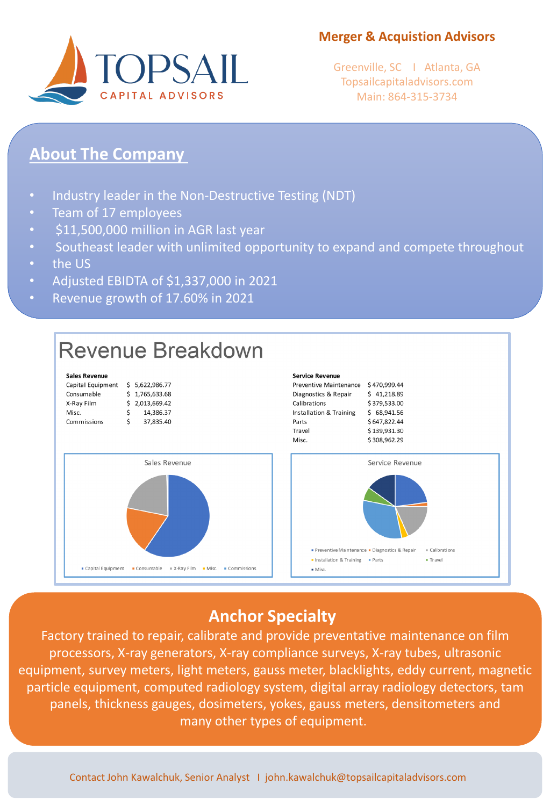### **Merger & Acquistion Advisors**



Greenville, SC I Atlanta, GA Topsailcapitaladvisors.com Main: 864-315-3734

## **About The Company**

- Industry leader in the Non-Destructive Testing (NDT)
- Team of 17 employees
- \$11,500,000 million in AGR last year
- Southeast leader with unlimited opportunity to expand and compete throughout
- the US
- Adjusted EBIDTA of \$1,337,000 in 2021
- Revenue growth of 17.60% in 2021



## **Anchor Specialty**

Factory trained to repair, calibrate and provide preventative maintenance on film processors, X-ray generators, X-ray compliance surveys, X-ray tubes, ultrasonic equipment, survey meters, light meters, gauss meter, blacklights, eddy current, magnetic particle equipment, computed radiology system, digital array radiology detectors, tam panels, thickness gauges, dosimeters, yokes, gauss meters, densitometers and many other types of equipment.